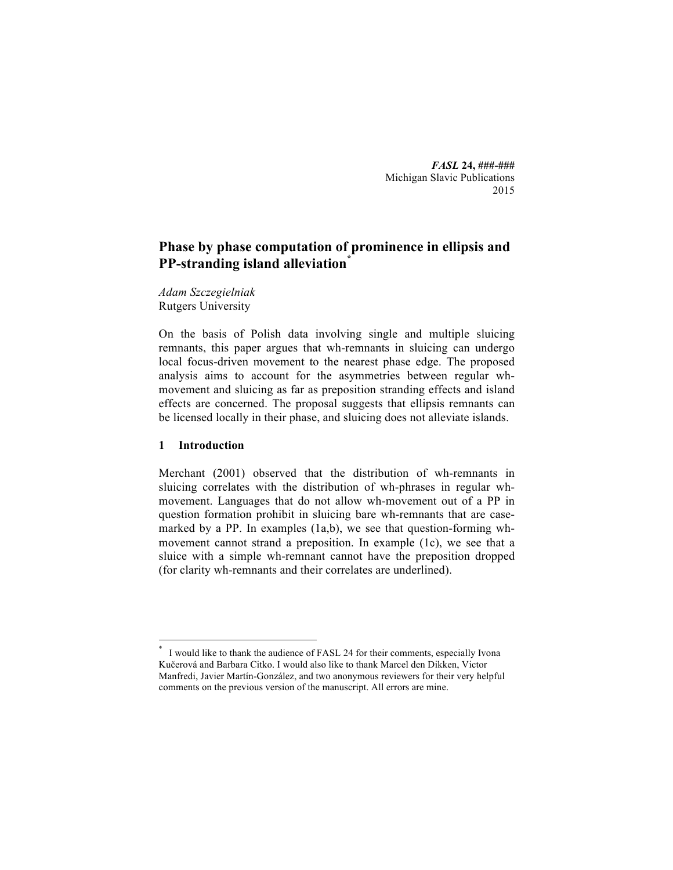*FASL* **24, ###-###** Michigan Slavic Publications 2015

# **Phase by phase computation of prominence in ellipsis and PP-stranding island alleviation\***

*Adam Szczegielniak* Rutgers University

On the basis of Polish data involving single and multiple sluicing remnants, this paper argues that wh-remnants in sluicing can undergo local focus-driven movement to the nearest phase edge. The proposed analysis aims to account for the asymmetries between regular whmovement and sluicing as far as preposition stranding effects and island effects are concerned. The proposal suggests that ellipsis remnants can be licensed locally in their phase, and sluicing does not alleviate islands.

## **1 Introduction**

Merchant (2001) observed that the distribution of wh-remnants in sluicing correlates with the distribution of wh-phrases in regular whmovement. Languages that do not allow wh-movement out of a PP in question formation prohibit in sluicing bare wh-remnants that are casemarked by a PP. In examples (1a,b), we see that question-forming whmovement cannot strand a preposition. In example (1c), we see that a sluice with a simple wh-remnant cannot have the preposition dropped (for clarity wh-remnants and their correlates are underlined).

I would like to thank the audience of FASL 24 for their comments, especially Ivona Kučerová and Barbara Citko. I would also like to thank Marcel den Dikken, Victor Manfredi, Javier Martín-González, and two anonymous reviewers for their very helpful comments on the previous version of the manuscript. All errors are mine.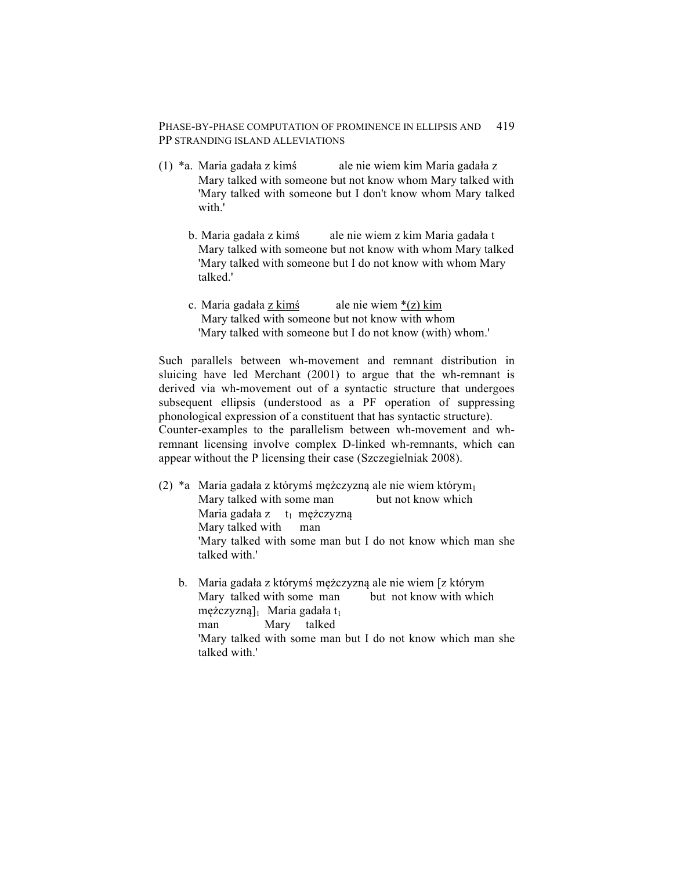- (1) \*a. Maria gadała z kimś ale nie wiem kim Maria gadała z Mary talked with someone but not know whom Mary talked with 'Mary talked with someone but I don't know whom Mary talked with '
	- b. Maria gadała z kimś ale nie wiem z kim Maria gadała t Mary talked with someone but not know with whom Mary talked 'Mary talked with someone but I do not know with whom Mary talked.'
	- c. Maria gadała z kimś ale nie wiem  $*(z)$  kim Mary talked with someone but not know with whom 'Mary talked with someone but I do not know (with) whom.'

Such parallels between wh-movement and remnant distribution in sluicing have led Merchant (2001) to argue that the wh-remnant is derived via wh-movement out of a syntactic structure that undergoes subsequent ellipsis (understood as a PF operation of suppressing phonological expression of a constituent that has syntactic structure). Counter-examples to the parallelism between wh-movement and whremnant licensing involve complex D-linked wh-remnants, which can appear without the P licensing their case (Szczegielniak 2008).

- (2) \*a Maria gadała z którymś mężczyzną ale nie wiem którym<sub>1</sub> Mary talked with some man but not know which Maria gadała z t<sub>1</sub> mężczyzną Mary talked with man 'Mary talked with some man but I do not know which man she talked with.'
	- b. Maria gadała z którymś mężczyzną ale nie wiem [z którym Mary talked with some man but not know with which  $m$ ężczyzną]<sub>1</sub> Maria gadała t<sub>1</sub> man Mary talked 'Mary talked with some man but I do not know which man she talked with.'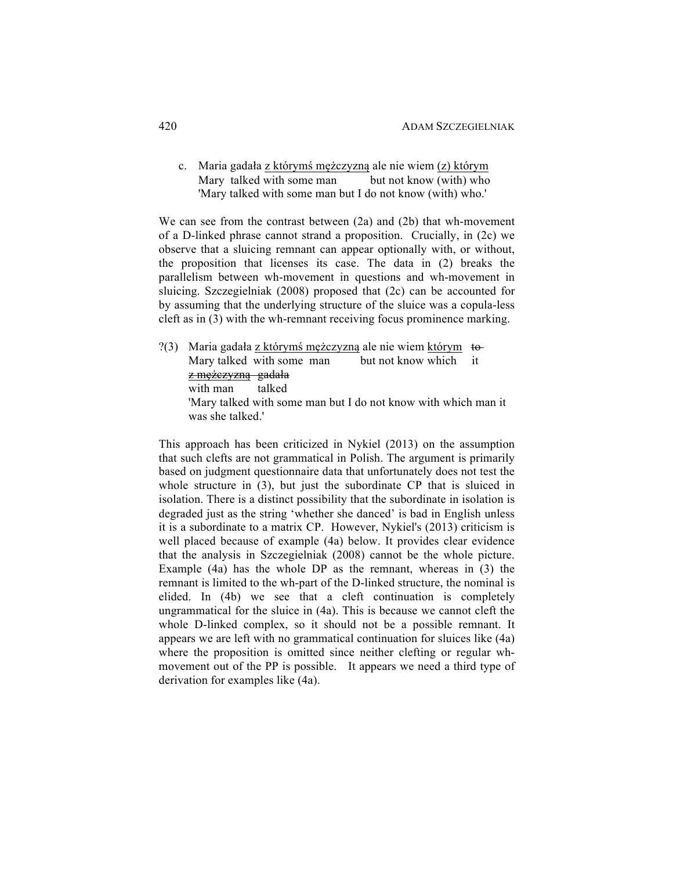c. Maria gadała z którymś mężczyzną ale nie wiem (z) którym Mary talked with some man but not know (with) who 'Mary talked with some man but I do not know (with) who.'

We can see from the contrast between (2a) and (2b) that wh-movement of a D-linked phrase cannot strand a proposition. Crucially, in (2c) we observe that a sluicing remnant can appear optionally with, or without, the proposition that licenses its case. The data in (2) breaks the parallelism between wh-movement in questions and wh-movement in sluicing. Szczegielniak (2008) proposed that (2c) can be accounted for by assuming that the underlying structure of the sluice was a copula-less cleft as in (3) with the wh-remnant receiving focus prominence marking.

?(3) Maria gadała z którymś mężczyzną ale nie wiem którym  $\epsilon$ Mary talked with some man but not know which it z mężczyzną gadała with man talked 'Mary talked with some man but I do not know with which man it was she talked.'

This approach has been criticized in Nykiel (2013) on the assumption that such clefts are not grammatical in Polish. The argument is primarily based on judgment questionnaire data that unfortunately does not test the whole structure in (3), but just the subordinate CP that is sluiced in isolation. There is a distinct possibility that the subordinate in isolation is degraded just as the string 'whether she danced' is bad in English unless it is a subordinate to a matrix CP. However, Nykiel's (2013) criticism is well placed because of example (4a) below. It provides clear evidence that the analysis in Szczegielniak (2008) cannot be the whole picture. Example (4a) has the whole DP as the remnant, whereas in (3) the remnant is limited to the wh-part of the D-linked structure, the nominal is elided. In (4b) we see that a cleft continuation is completely ungrammatical for the sluice in (4a). This is because we cannot cleft the whole D-linked complex, so it should not be a possible remnant. It appears we are left with no grammatical continuation for sluices like (4a) where the proposition is omitted since neither clefting or regular whmovement out of the PP is possible. It appears we need a third type of derivation for examples like (4a).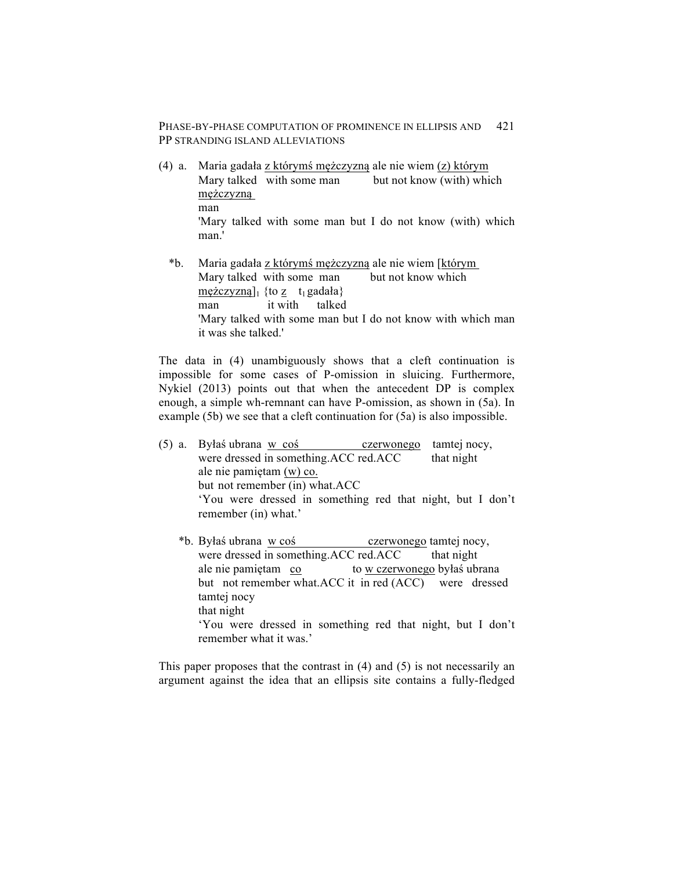- (4) a. Maria gadała z którymś mężczyzną ale nie wiem (z) którym Mary talked with some man but not know (with) which mężczyzną man 'Mary talked with some man but I do not know (with) which man.'
	- \*b. Maria gadała z którymś mężczyzną ale nie wiem [którym Mary talked with some man but not know which  $mezczyzną]$ <sub>1</sub> {to z t<sub>1</sub> gadała} man it with talked 'Mary talked with some man but I do not know with which man it was she talked.'

The data in (4) unambiguously shows that a cleft continuation is impossible for some cases of P-omission in sluicing. Furthermore, Nykiel (2013) points out that when the antecedent DP is complex enough, a simple wh-remnant can have P-omission, as shown in (5a). In example (5b) we see that a cleft continuation for (5a) is also impossible.

- (5) a. Byłaś ubrana w coś czerwonego tamtej nocy, were dressed in something.ACC red.ACC that night ale nie pamiętam (w) co. but not remember (in) what.ACC 'You were dressed in something red that night, but I don't remember (in) what.'
	- \*b. Byłaś ubrana w coś czerwonego tamtej nocy, were dressed in something.ACC red.ACC that night ale nie pamiętam co to w czerwonego byłaś ubrana but not remember what.ACC it in red (ACC) were dressed tamtej nocy that night 'You were dressed in something red that night, but I don't remember what it was.'

This paper proposes that the contrast in (4) and (5) is not necessarily an argument against the idea that an ellipsis site contains a fully-fledged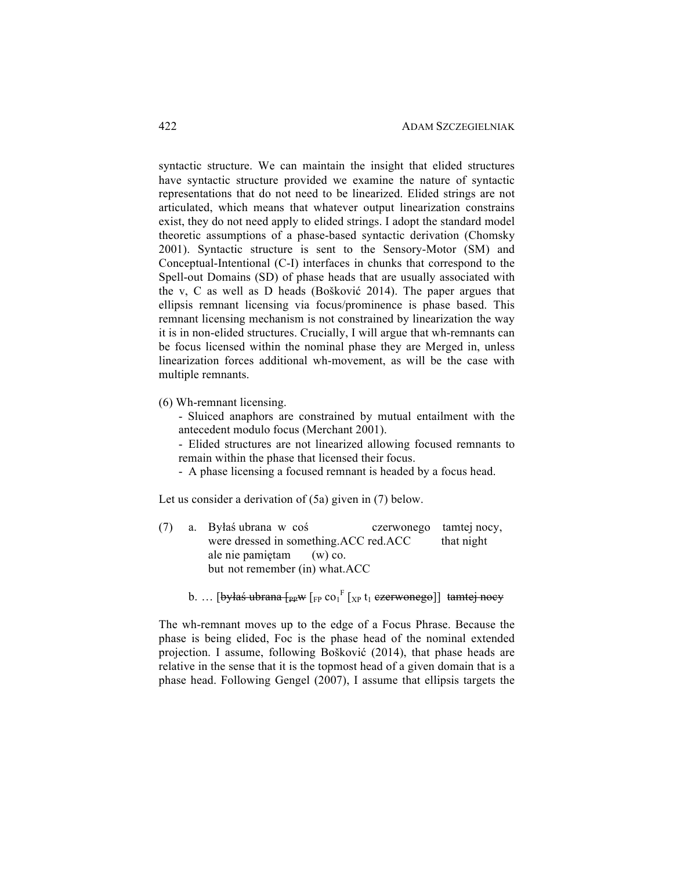syntactic structure. We can maintain the insight that elided structures have syntactic structure provided we examine the nature of syntactic representations that do not need to be linearized. Elided strings are not articulated, which means that whatever output linearization constrains exist, they do not need apply to elided strings. I adopt the standard model theoretic assumptions of a phase-based syntactic derivation (Chomsky 2001). Syntactic structure is sent to the Sensory-Motor (SM) and Conceptual-Intentional (C-I) interfaces in chunks that correspond to the Spell-out Domains (SD) of phase heads that are usually associated with the v, C as well as D heads (Bošković 2014). The paper argues that ellipsis remnant licensing via focus/prominence is phase based. This remnant licensing mechanism is not constrained by linearization the way it is in non-elided structures. Crucially, I will argue that wh-remnants can be focus licensed within the nominal phase they are Merged in, unless linearization forces additional wh-movement, as will be the case with multiple remnants.

- (6) Wh-remnant licensing.
	- Sluiced anaphors are constrained by mutual entailment with the antecedent modulo focus (Merchant 2001).
	- Elided structures are not linearized allowing focused remnants to remain within the phase that licensed their focus.
	- A phase licensing a focused remnant is headed by a focus head.

Let us consider a derivation of (5a) given in (7) below.

- (7) a. Byłaś ubrana w coś czerwonego tamtej nocy, were dressed in something.ACC red.ACC that night ale nie pamiętam (w) co. but not remember (in) what.ACC
	- b. … [<del>byłaś ubrana [ppw</del> [<sub>FP</sub> co<sub>1</sub><sup>F</sup> [<sub>XP</sub> t<sub>1</sub> <del>czerwonego</del>]] <del>tamtej nocy</del>

The wh-remnant moves up to the edge of a Focus Phrase. Because the phase is being elided, Foc is the phase head of the nominal extended projection. I assume, following Bošković (2014), that phase heads are relative in the sense that it is the topmost head of a given domain that is a phase head. Following Gengel (2007), I assume that ellipsis targets the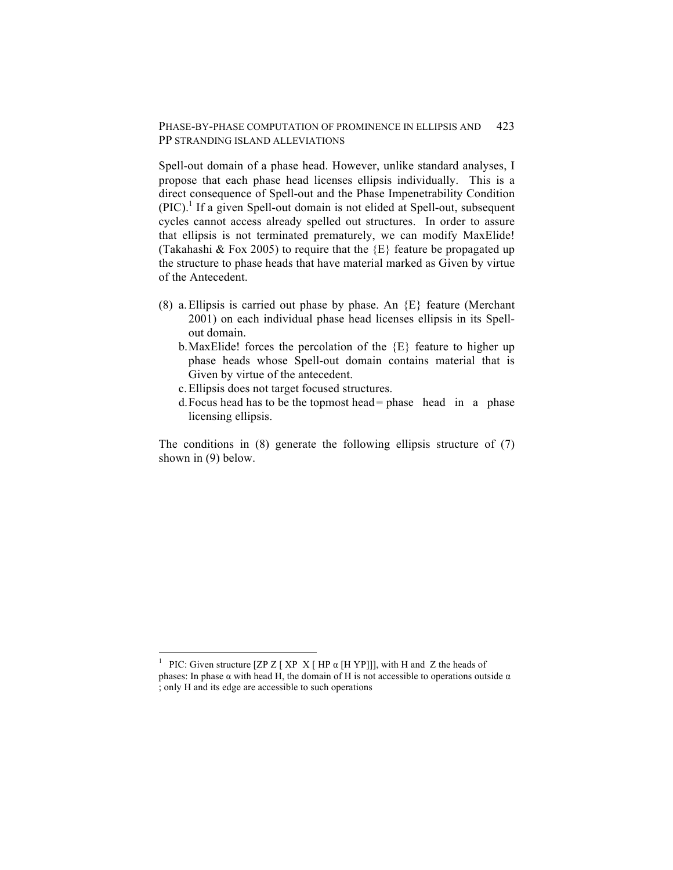Spell-out domain of a phase head. However, unlike standard analyses, I propose that each phase head licenses ellipsis individually. This is a direct consequence of Spell-out and the Phase Impenetrability Condition  $(PIC).$ <sup>1</sup> If a given Spell-out domain is not elided at Spell-out, subsequent cycles cannot access already spelled out structures. In order to assure that ellipsis is not terminated prematurely, we can modify MaxElide! (Takahashi & Fox 2005) to require that the {E} feature be propagated up the structure to phase heads that have material marked as Given by virtue of the Antecedent.

- (8) a. Ellipsis is carried out phase by phase. An  ${E}$  feature (Merchant 2001) on each individual phase head licenses ellipsis in its Spellout domain.
	- b. MaxElide! forces the percolation of the  $\{E\}$  feature to higher up phase heads whose Spell-out domain contains material that is Given by virtue of the antecedent.
	- c.Ellipsis does not target focused structures.
	- d.Focus head has to be the topmost head= phase head in a phase licensing ellipsis.

The conditions in (8) generate the following ellipsis structure of (7) shown in (9) below.

 <sup>1</sup> PIC: Given structure [ZP Z [ XP X [ HP α [H YP]]], with H and Z the heads of phases: In phase  $\alpha$  with head H, the domain of H is not accessible to operations outside  $\alpha$ ; only H and its edge are accessible to such operations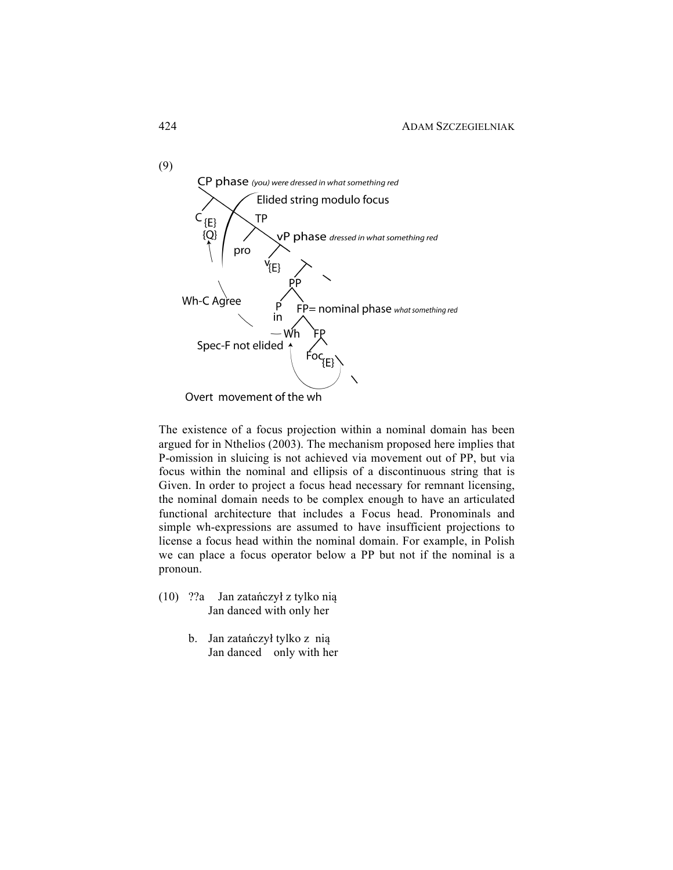

The existence of a focus projection within a nominal domain has been argued for in Nthelios (2003). The mechanism proposed here implies that P-omission in sluicing is not achieved via movement out of PP, but via focus within the nominal and ellipsis of a discontinuous string that is Given. In order to project a focus head necessary for remnant licensing, the nominal domain needs to be complex enough to have an articulated functional architecture that includes a Focus head. Pronominals and simple wh-expressions are assumed to have insufficient projections to license a focus head within the nominal domain. For example, in Polish we can place a focus operator below a PP but not if the nominal is a pronoun.

- (10) ??a Jan zatańczył z tylko nią Jan danced with only her
	- b. Jan zatańczył tylko z nią Jan danced only with her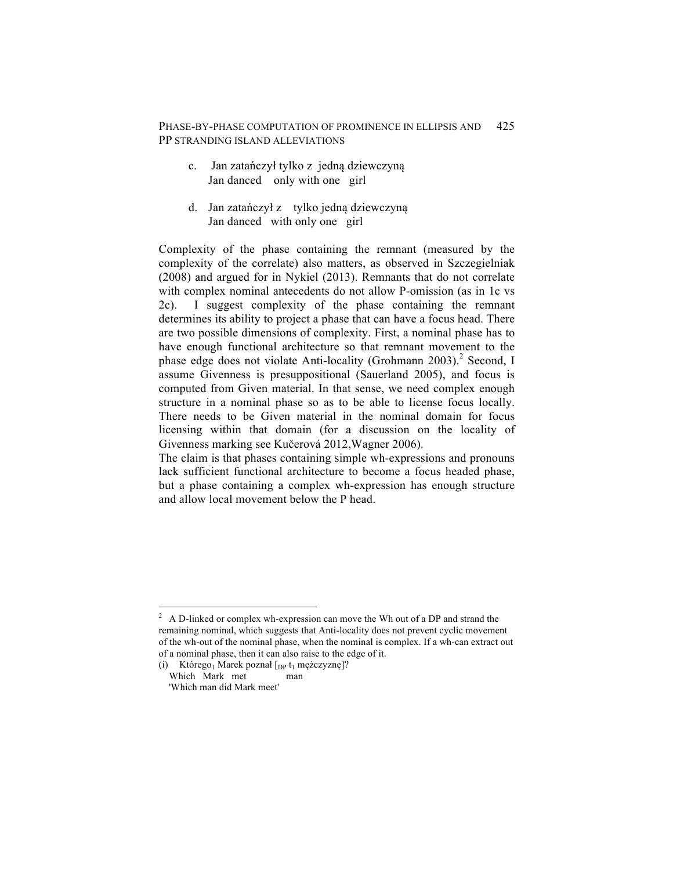- c. Jan zatańczył tylko z jedną dziewczyną Jan danced only with one girl
- d. Jan zatańczył z tylko jedną dziewczyną Jan danced with only one girl

Complexity of the phase containing the remnant (measured by the complexity of the correlate) also matters, as observed in Szczegielniak (2008) and argued for in Nykiel (2013). Remnants that do not correlate with complex nominal antecedents do not allow P-omission (as in 1c vs 2c). I suggest complexity of the phase containing the remnant determines its ability to project a phase that can have a focus head. There are two possible dimensions of complexity. First, a nominal phase has to have enough functional architecture so that remnant movement to the phase edge does not violate Anti-locality (Grohmann 2003).<sup>2</sup> Second, I assume Givenness is presuppositional (Sauerland 2005), and focus is computed from Given material. In that sense, we need complex enough structure in a nominal phase so as to be able to license focus locally. There needs to be Given material in the nominal domain for focus licensing within that domain (for a discussion on the locality of Givenness marking see Kučerová 2012,Wagner 2006).

The claim is that phases containing simple wh-expressions and pronouns lack sufficient functional architecture to become a focus headed phase, but a phase containing a complex wh-expression has enough structure and allow local movement below the P head.

 $2$  A D-linked or complex wh-expression can move the Wh out of a DP and strand the remaining nominal, which suggests that Anti-locality does not prevent cyclic movement of the wh-out of the nominal phase, when the nominal is complex. If a wh-can extract out of a nominal phase, then it can also raise to the edge of it.

<sup>(</sup>i) Którego<sub>1</sub> Marek poznał  $[$ <sub>DP</sub> t<sub>1</sub> mężczyznę]?<br>Which Mark met man Which Mark met

<sup>&#</sup>x27;Which man did Mark meet'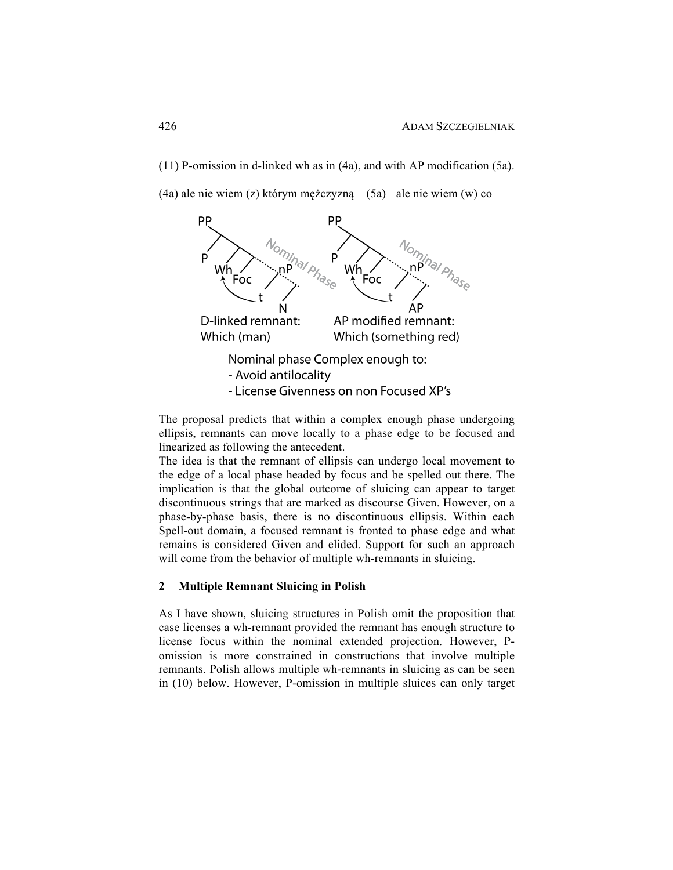(11) P-omission in d-linked wh as in (4a), and with AP modification (5a).

(4a) ale nie wiem (z) którym mężczyzną (5a) ale nie wiem (w) co



The proposal predicts that within a complex enough phase undergoing ellipsis, remnants can move locally to a phase edge to be focused and linearized as following the antecedent.

The idea is that the remnant of ellipsis can undergo local movement to the edge of a local phase headed by focus and be spelled out there. The implication is that the global outcome of sluicing can appear to target discontinuous strings that are marked as discourse Given. However, on a phase-by-phase basis, there is no discontinuous ellipsis. Within each Spell-out domain, a focused remnant is fronted to phase edge and what remains is considered Given and elided. Support for such an approach will come from the behavior of multiple wh-remnants in sluicing.

## **2 Multiple Remnant Sluicing in Polish**

As I have shown, sluicing structures in Polish omit the proposition that case licenses a wh-remnant provided the remnant has enough structure to license focus within the nominal extended projection. However, Pomission is more constrained in constructions that involve multiple remnants. Polish allows multiple wh-remnants in sluicing as can be seen in (10) below. However, P-omission in multiple sluices can only target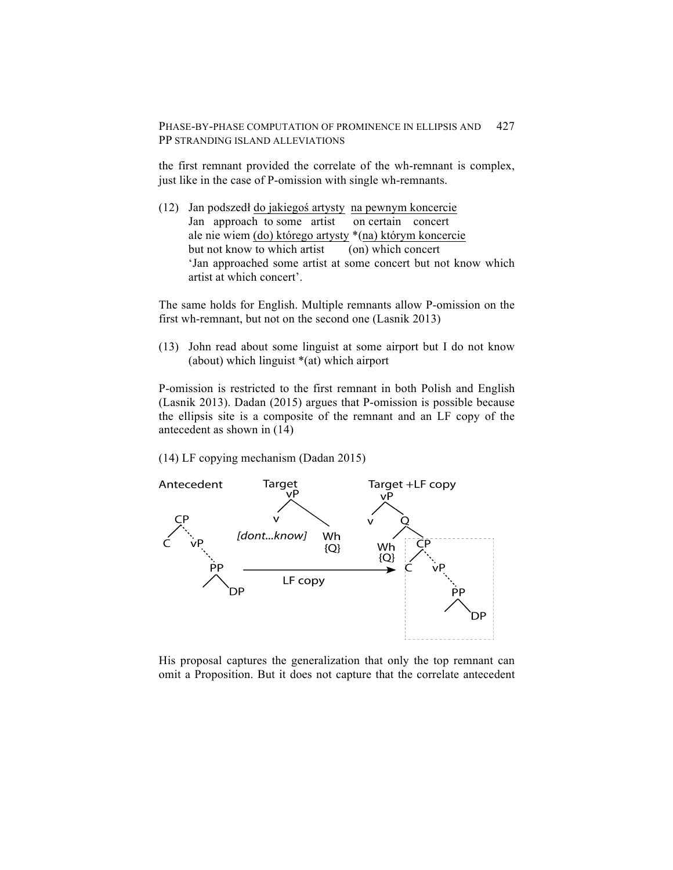the first remnant provided the correlate of the wh-remnant is complex, just like in the case of P-omission with single wh-remnants.

(12) Jan podszedł do jakiegoś artysty na pewnym koncercie Jan approach to some artist on certain concert ale nie wiem (do) którego artysty \*(na) którym koncercie but not know to which artist (on) which concert 'Jan approached some artist at some concert but not know which artist at which concert'.

The same holds for English. Multiple remnants allow P-omission on the first wh-remnant, but not on the second one (Lasnik 2013)

(13) John read about some linguist at some airport but I do not know (about) which linguist \*(at) which airport

P-omission is restricted to the first remnant in both Polish and English (Lasnik 2013). Dadan (2015) argues that P-omission is possible because the ellipsis site is a composite of the remnant and an LF copy of the antecedent as shown in (14)

(14) LF copying mechanism (Dadan 2015)



His proposal captures the generalization that only the top remnant can omit a Proposition. But it does not capture that the correlate antecedent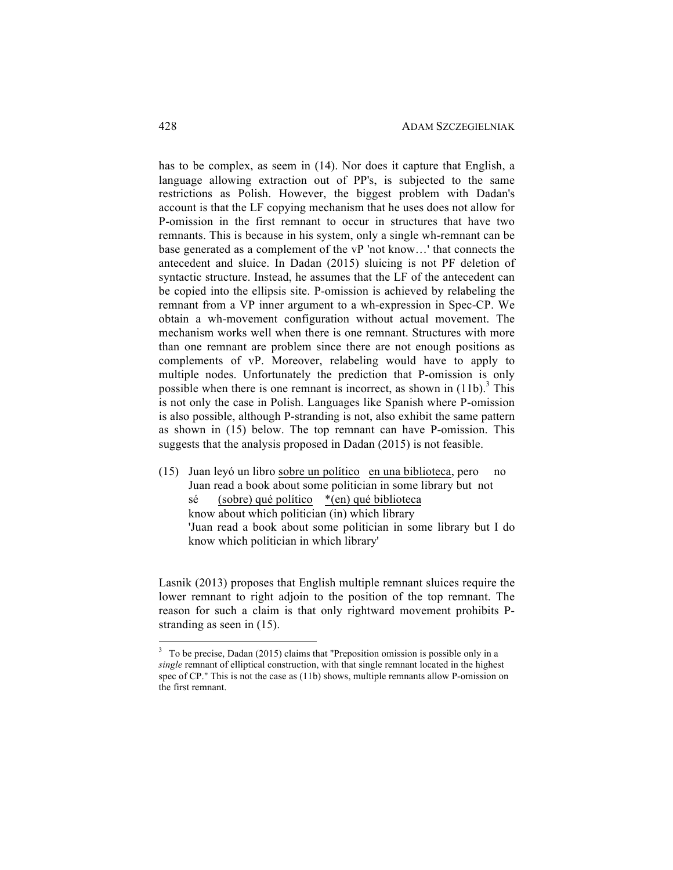has to be complex, as seem in (14). Nor does it capture that English, a language allowing extraction out of PP's, is subjected to the same restrictions as Polish. However, the biggest problem with Dadan's account is that the LF copying mechanism that he uses does not allow for P-omission in the first remnant to occur in structures that have two remnants. This is because in his system, only a single wh-remnant can be base generated as a complement of the vP 'not know…' that connects the antecedent and sluice. In Dadan (2015) sluicing is not PF deletion of syntactic structure. Instead, he assumes that the LF of the antecedent can be copied into the ellipsis site. P-omission is achieved by relabeling the remnant from a VP inner argument to a wh-expression in Spec-CP. We obtain a wh-movement configuration without actual movement. The mechanism works well when there is one remnant. Structures with more than one remnant are problem since there are not enough positions as complements of vP. Moreover, relabeling would have to apply to multiple nodes. Unfortunately the prediction that P-omission is only possible when there is one remnant is incorrect, as shown in  $(11b)$ <sup>3</sup>. This is not only the case in Polish. Languages like Spanish where P-omission is also possible, although P-stranding is not, also exhibit the same pattern as shown in (15) below. The top remnant can have P-omission. This suggests that the analysis proposed in Dadan (2015) is not feasible.

(15) Juan leyó un libro sobre un político en una biblioteca, pero no Juan read a book about some politician in some library but not sé (sobre) qué político \*(en) qué biblioteca know about which politician (in) which library 'Juan read a book about some politician in some library but I do know which politician in which library'

Lasnik (2013) proposes that English multiple remnant sluices require the lower remnant to right adjoin to the position of the top remnant. The reason for such a claim is that only rightward movement prohibits Pstranding as seen in (15).

<sup>&</sup>lt;sup>3</sup> To be precise, Dadan (2015) claims that "Preposition omission is possible only in a *single* remnant of elliptical construction, with that single remnant located in the highest spec of CP." This is not the case as (11b) shows, multiple remnants allow P-omission on the first remnant.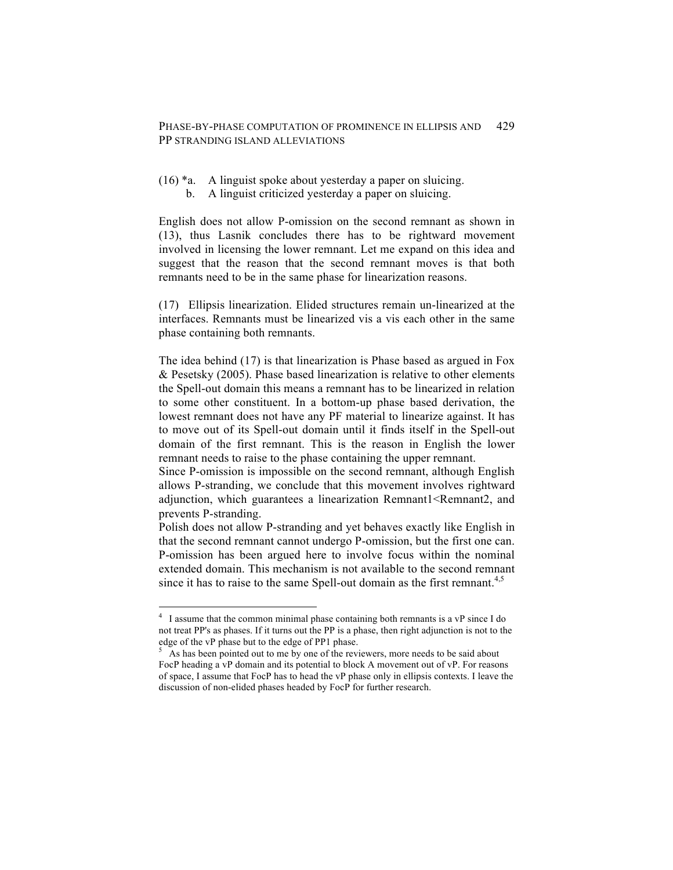- (16) \*a. A linguist spoke about yesterday a paper on sluicing.
	- b. A linguist criticized yesterday a paper on sluicing.

English does not allow P-omission on the second remnant as shown in (13), thus Lasnik concludes there has to be rightward movement involved in licensing the lower remnant. Let me expand on this idea and suggest that the reason that the second remnant moves is that both remnants need to be in the same phase for linearization reasons.

(17) Ellipsis linearization. Elided structures remain un-linearized at the interfaces. Remnants must be linearized vis a vis each other in the same phase containing both remnants.

The idea behind (17) is that linearization is Phase based as argued in Fox & Pesetsky (2005). Phase based linearization is relative to other elements the Spell-out domain this means a remnant has to be linearized in relation to some other constituent. In a bottom-up phase based derivation, the lowest remnant does not have any PF material to linearize against. It has to move out of its Spell-out domain until it finds itself in the Spell-out domain of the first remnant. This is the reason in English the lower remnant needs to raise to the phase containing the upper remnant.

Since P-omission is impossible on the second remnant, although English allows P-stranding, we conclude that this movement involves rightward adjunction, which guarantees a linearization Remnant1<Remnant2, and prevents P-stranding.

Polish does not allow P-stranding and yet behaves exactly like English in that the second remnant cannot undergo P-omission, but the first one can. P-omission has been argued here to involve focus within the nominal extended domain. This mechanism is not available to the second remnant since it has to raise to the same Spell-out domain as the first remnant.<sup>4,5</sup>

 <sup>4</sup> I assume that the common minimal phase containing both remnants is a vP since I do not treat PP's as phases. If it turns out the PP is a phase, then right adjunction is not to the edge of the vP phase but to the edge of PP1 phase.

 $5<sup>5</sup>$  As has been pointed out to me by one of the reviewers, more needs to be said about FocP heading a vP domain and its potential to block A movement out of vP. For reasons of space, I assume that FocP has to head the vP phase only in ellipsis contexts. I leave the discussion of non-elided phases headed by FocP for further research.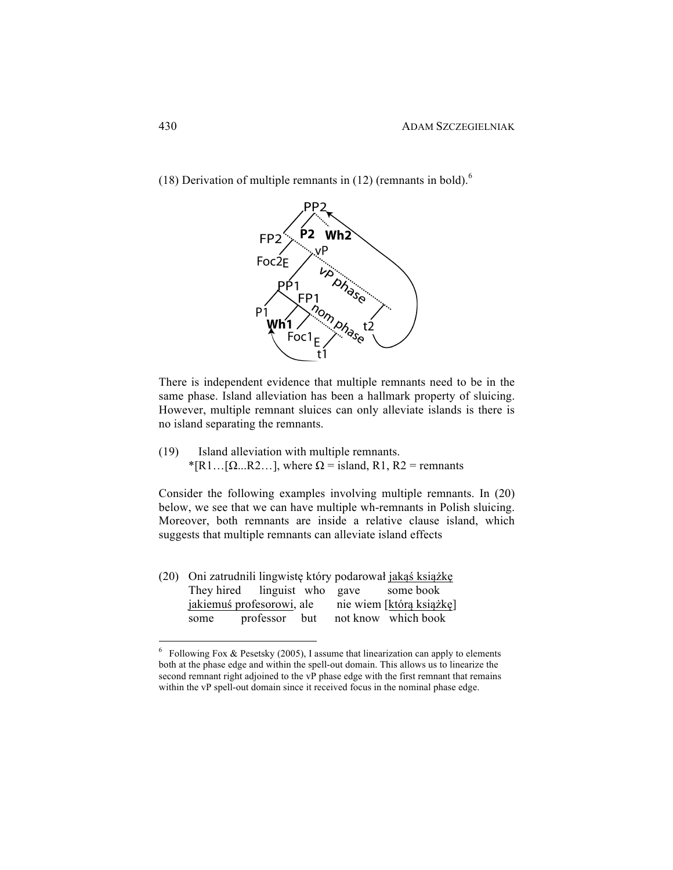

(18) Derivation of multiple remnants in (12) (remnants in bold).<sup>6</sup>

There is independent evidence that multiple remnants need to be in the same phase. Island alleviation has been a hallmark property of sluicing. However, multiple remnant sluices can only alleviate islands is there is no island separating the remnants.

(19) Island alleviation with multiple remnants. \*[R1…[ $\Omega$ …R2…], where  $\Omega$  = island, R1, R2 = remnants

Consider the following examples involving multiple remnants. In (20) below, we see that we can have multiple wh-remnants in Polish sluicing. Moreover, both remnants are inside a relative clause island, which suggests that multiple remnants can alleviate island effects

(20) Oni zatrudnili lingwistę który podarował jakąś książkę They hired linguist who gave some book jakiemuś profesorowi, ale nie wiem [którą książkę] some professor but not know which book

 $6$  Following Fox & Pesetsky (2005), I assume that linearization can apply to elements both at the phase edge and within the spell-out domain. This allows us to linearize the second remnant right adjoined to the vP phase edge with the first remnant that remains within the vP spell-out domain since it received focus in the nominal phase edge.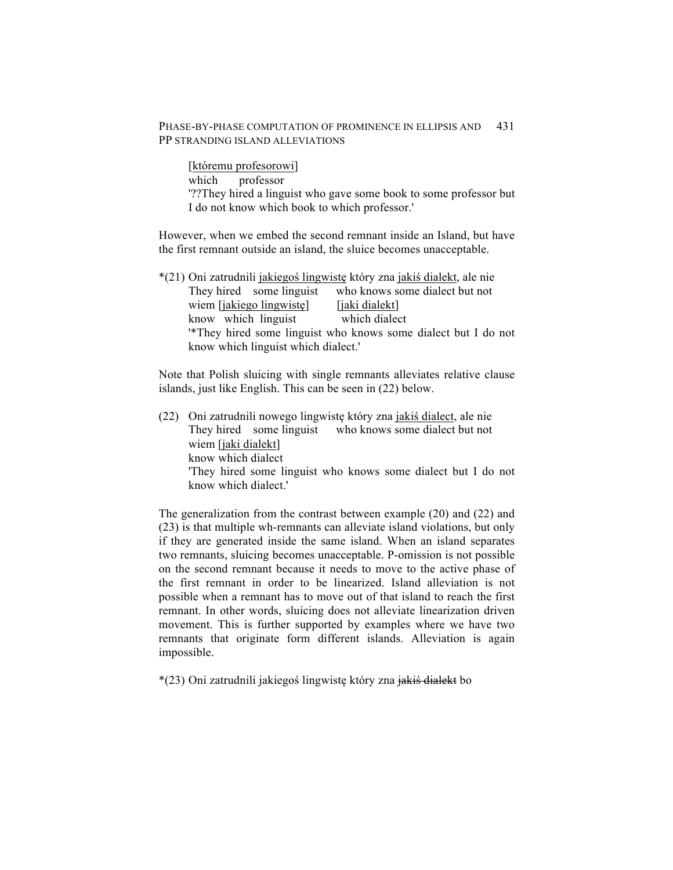[któremu profesorowi] which professor '??They hired a linguist who gave some book to some professor but I do not know which book to which professor.'

However, when we embed the second remnant inside an Island, but have the first remnant outside an island, the sluice becomes unacceptable.

| *(21) Oni zatrudnili jakiegoś lingwistę który zna jakiś dialekt, ale nie  |  |                                |
|---------------------------------------------------------------------------|--|--------------------------------|
| They hired some linguist                                                  |  | who knows some dialect but not |
| wiem [jakiego lingwiste]                                                  |  | [jaki dialekt]                 |
| know which linguist                                                       |  | which dialect                  |
| <sup>*</sup> They hired some linguist who knows some dialect but I do not |  |                                |
| know which linguist which dialect.'                                       |  |                                |

Note that Polish sluicing with single remnants alleviates relative clause islands, just like English. This can be seen in (22) below.

(22) Oni zatrudnili nowego lingwistę który zna jakiś dialect, ale nie They hired some linguist who knows some dialect but not wiem [jaki dialekt] know which dialect 'They hired some linguist who knows some dialect but I do not know which dialect.'

The generalization from the contrast between example (20) and (22) and (23) is that multiple wh-remnants can alleviate island violations, but only if they are generated inside the same island. When an island separates two remnants, sluicing becomes unacceptable. P-omission is not possible on the second remnant because it needs to move to the active phase of the first remnant in order to be linearized. Island alleviation is not possible when a remnant has to move out of that island to reach the first remnant. In other words, sluicing does not alleviate linearization driven movement. This is further supported by examples where we have two remnants that originate form different islands. Alleviation is again impossible.

\*(23) Oni zatrudnili jakiegoś lingwistę który zna jakiś dialekt bo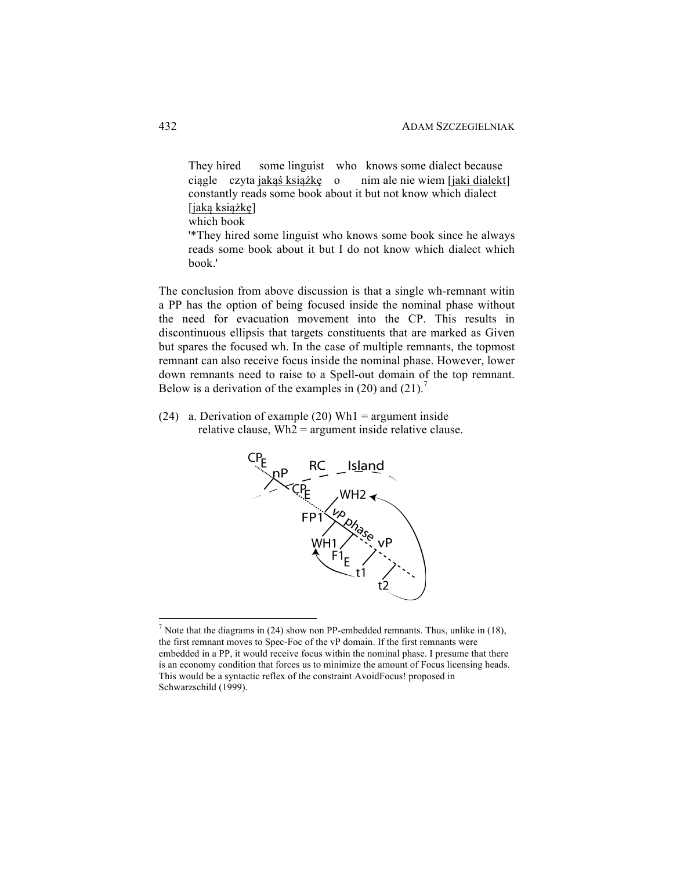They hired some linguist who knows some dialect because ciągle czyta jakąś książkę o nim ale nie wiem [jaki dialekt] constantly reads some book about it but not know which dialect [jaką książkę] which book

'\*They hired some linguist who knows some book since he always reads some book about it but I do not know which dialect which book.'

The conclusion from above discussion is that a single wh-remnant witin a PP has the option of being focused inside the nominal phase without the need for evacuation movement into the CP. This results in discontinuous ellipsis that targets constituents that are marked as Given but spares the focused wh. In the case of multiple remnants, the topmost remnant can also receive focus inside the nominal phase. However, lower down remnants need to raise to a Spell-out domain of the top remnant. Below is a derivation of the examples in (20) and (21).<sup>7</sup>

(24) a. Derivation of example (20) Wh1 = argument inside relative clause,  $Wh2 = argument$  inside relative clause.



<sup>&</sup>lt;sup>7</sup> Note that the diagrams in (24) show non PP-embedded remnants. Thus, unlike in (18), the first remnant moves to Spec-Foc of the vP domain. If the first remnants were embedded in a PP, it would receive focus within the nominal phase. I presume that there is an economy condition that forces us to minimize the amount of Focus licensing heads. This would be a syntactic reflex of the constraint AvoidFocus! proposed in Schwarzschild (1999).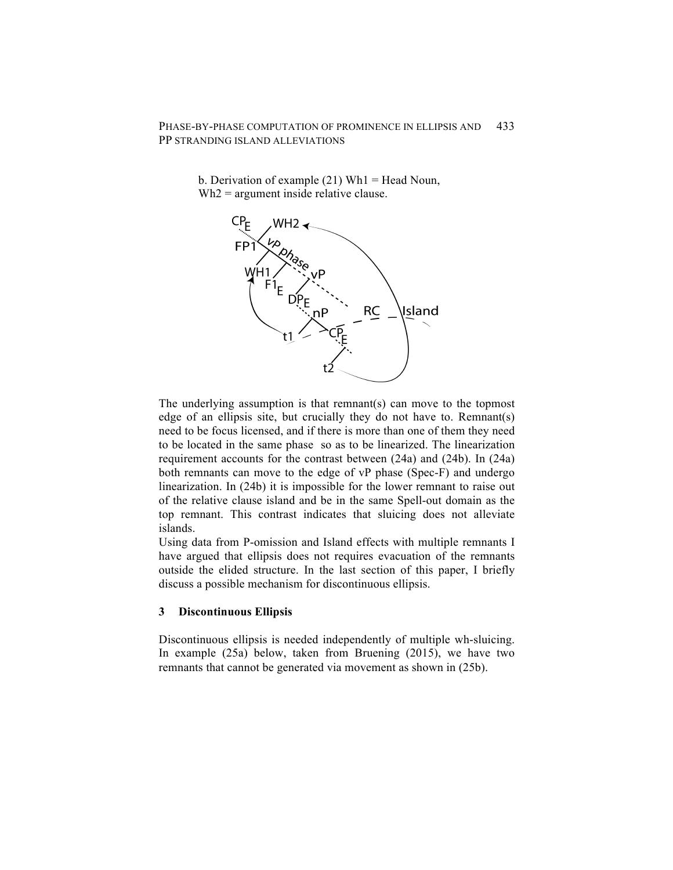> b. Derivation of example  $(21)$  Wh1 = Head Noun, Wh2 = argument inside relative clause.



The underlying assumption is that remnant(s) can move to the topmost edge of an ellipsis site, but crucially they do not have to. Remnant(s) need to be focus licensed, and if there is more than one of them they need to be located in the same phase so as to be linearized. The linearization requirement accounts for the contrast between (24a) and (24b). In (24a) both remnants can move to the edge of vP phase (Spec-F) and undergo linearization. In (24b) it is impossible for the lower remnant to raise out of the relative clause island and be in the same Spell-out domain as the top remnant. This contrast indicates that sluicing does not alleviate islands.

Using data from P-omission and Island effects with multiple remnants I have argued that ellipsis does not requires evacuation of the remnants outside the elided structure. In the last section of this paper, I briefly discuss a possible mechanism for discontinuous ellipsis.

### **3 Discontinuous Ellipsis**

Discontinuous ellipsis is needed independently of multiple wh-sluicing. In example (25a) below, taken from Bruening (2015), we have two remnants that cannot be generated via movement as shown in (25b).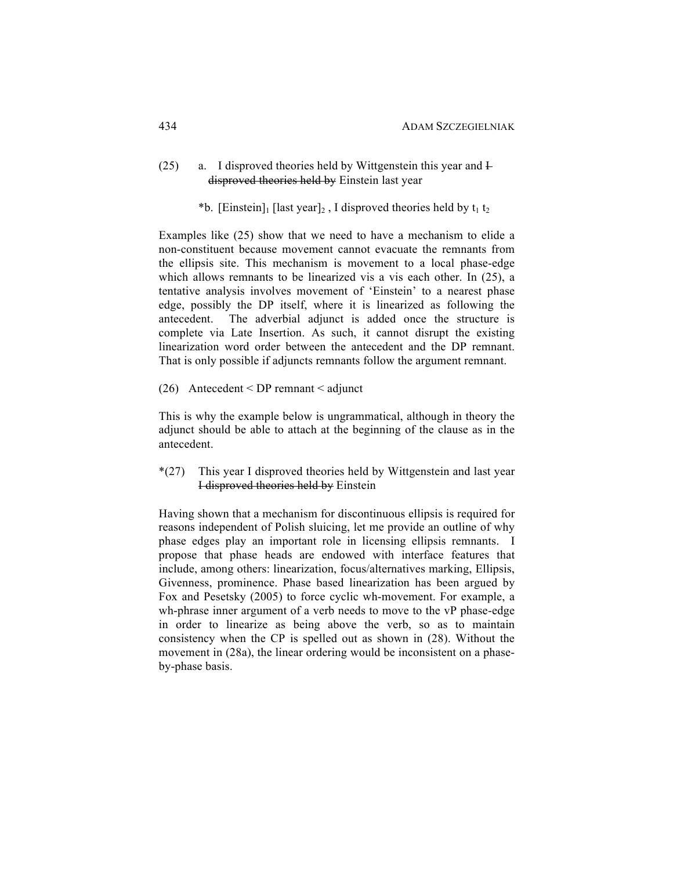## (25) a. I disproved theories held by Wittgenstein this year and  $\overline{F}$ disproved theories held by Einstein last year

\*b. [Einstein]<sub>1</sub> [last year]<sub>2</sub>, I disproved theories held by  $t_1 t_2$ 

Examples like (25) show that we need to have a mechanism to elide a non-constituent because movement cannot evacuate the remnants from the ellipsis site. This mechanism is movement to a local phase-edge which allows remnants to be linearized vis a vis each other. In (25), a tentative analysis involves movement of 'Einstein' to a nearest phase edge, possibly the DP itself, where it is linearized as following the antecedent. The adverbial adjunct is added once the structure is complete via Late Insertion. As such, it cannot disrupt the existing linearization word order between the antecedent and the DP remnant. That is only possible if adjuncts remnants follow the argument remnant.

(26) Antecedent < DP remnant < adjunct

This is why the example below is ungrammatical, although in theory the adjunct should be able to attach at the beginning of the clause as in the antecedent.

\*(27) This year I disproved theories held by Wittgenstein and last year I disproved theories held by Einstein

Having shown that a mechanism for discontinuous ellipsis is required for reasons independent of Polish sluicing, let me provide an outline of why phase edges play an important role in licensing ellipsis remnants. I propose that phase heads are endowed with interface features that include, among others: linearization, focus/alternatives marking, Ellipsis, Givenness, prominence. Phase based linearization has been argued by Fox and Pesetsky (2005) to force cyclic wh-movement. For example, a wh-phrase inner argument of a verb needs to move to the vP phase-edge in order to linearize as being above the verb, so as to maintain consistency when the CP is spelled out as shown in (28). Without the movement in (28a), the linear ordering would be inconsistent on a phaseby-phase basis.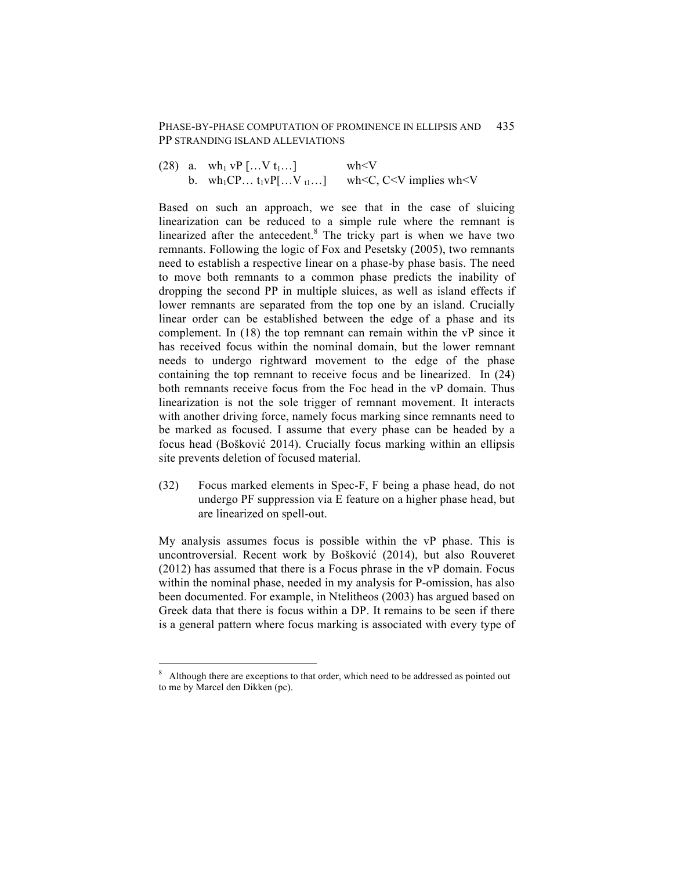(28) a. wh<sub>1</sub> vP […V t<sub>1</sub>…] wh<V b. wh<sub>1</sub>CP… t<sub>1</sub>vP[…V<sub>t1</sub>…] wh<C, C<V implies wh<V

Based on such an approach, we see that in the case of sluicing linearization can be reduced to a simple rule where the remnant is linearized after the antecedent. $8$  The tricky part is when we have two remnants. Following the logic of Fox and Pesetsky (2005), two remnants need to establish a respective linear on a phase-by phase basis. The need to move both remnants to a common phase predicts the inability of dropping the second PP in multiple sluices, as well as island effects if lower remnants are separated from the top one by an island. Crucially linear order can be established between the edge of a phase and its complement. In (18) the top remnant can remain within the vP since it has received focus within the nominal domain, but the lower remnant needs to undergo rightward movement to the edge of the phase containing the top remnant to receive focus and be linearized. In (24) both remnants receive focus from the Foc head in the vP domain. Thus linearization is not the sole trigger of remnant movement. It interacts with another driving force, namely focus marking since remnants need to be marked as focused. I assume that every phase can be headed by a focus head (Bošković 2014). Crucially focus marking within an ellipsis site prevents deletion of focused material.

(32) Focus marked elements in Spec-F, F being a phase head, do not undergo PF suppression via E feature on a higher phase head, but are linearized on spell-out.

My analysis assumes focus is possible within the vP phase. This is uncontroversial. Recent work by Bošković (2014), but also Rouveret (2012) has assumed that there is a Focus phrase in the vP domain. Focus within the nominal phase, needed in my analysis for P-omission, has also been documented. For example, in Ntelitheos (2003) has argued based on Greek data that there is focus within a DP. It remains to be seen if there is a general pattern where focus marking is associated with every type of

<sup>&</sup>lt;sup>8</sup> Although there are exceptions to that order, which need to be addressed as pointed out to me by Marcel den Dikken (pc).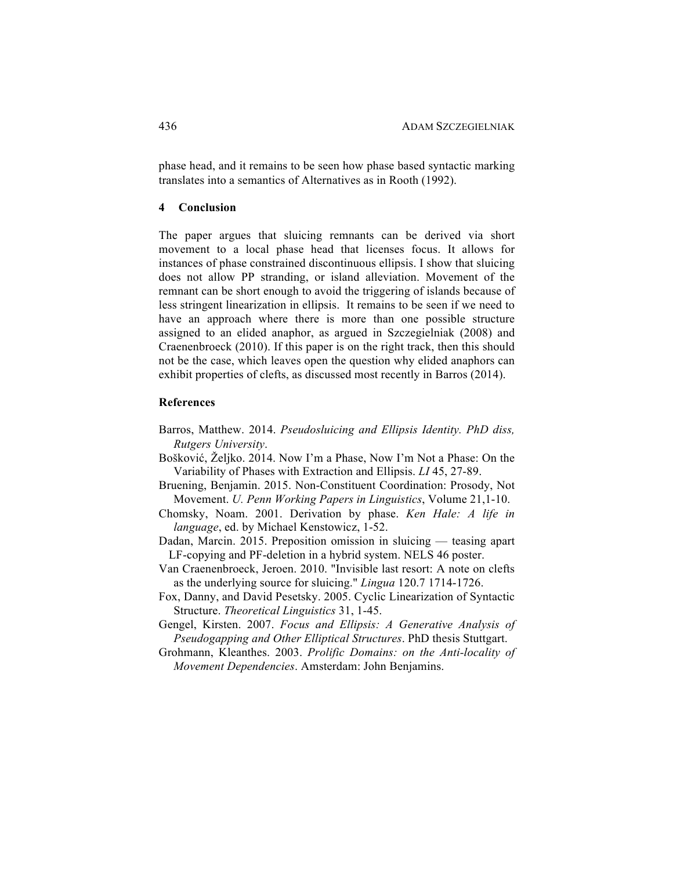phase head, and it remains to be seen how phase based syntactic marking translates into a semantics of Alternatives as in Rooth (1992).

## **4 Conclusion**

The paper argues that sluicing remnants can be derived via short movement to a local phase head that licenses focus. It allows for instances of phase constrained discontinuous ellipsis. I show that sluicing does not allow PP stranding, or island alleviation. Movement of the remnant can be short enough to avoid the triggering of islands because of less stringent linearization in ellipsis. It remains to be seen if we need to have an approach where there is more than one possible structure assigned to an elided anaphor, as argued in Szczegielniak (2008) and Craenenbroeck (2010). If this paper is on the right track, then this should not be the case, which leaves open the question why elided anaphors can exhibit properties of clefts, as discussed most recently in Barros (2014).

### **References**

- Barros, Matthew. 2014. *Pseudosluicing and Ellipsis Identity. PhD diss, Rutgers University*.
- Bošković, Željko. 2014. Now I'm a Phase, Now I'm Not a Phase: On the Variability of Phases with Extraction and Ellipsis. *LI* 45, 27-89.
- Bruening, Benjamin. 2015. Non-Constituent Coordination: Prosody, Not Movement. *U. Penn Working Papers in Linguistics*, Volume 21,1-10.
- Chomsky, Noam. 2001. Derivation by phase. *Ken Hale: A life in language*, ed. by Michael Kenstowicz, 1-52.
- Dadan, Marcin. 2015. Preposition omission in sluicing teasing apart LF-copying and PF-deletion in a hybrid system. NELS 46 poster.
- Van Craenenbroeck, Jeroen. 2010. "Invisible last resort: A note on clefts as the underlying source for sluicing." *Lingua* 120.7 1714-1726.
- Fox, Danny, and David Pesetsky. 2005. Cyclic Linearization of Syntactic Structure. *Theoretical Linguistics* 31, 1-45.
- Gengel, Kirsten. 2007. *Focus and Ellipsis: A Generative Analysis of Pseudogapping and Other Elliptical Structures*. PhD thesis Stuttgart.
- Grohmann, Kleanthes. 2003. *Prolific Domains: on the Anti-locality of Movement Dependencies*. Amsterdam: John Benjamins.